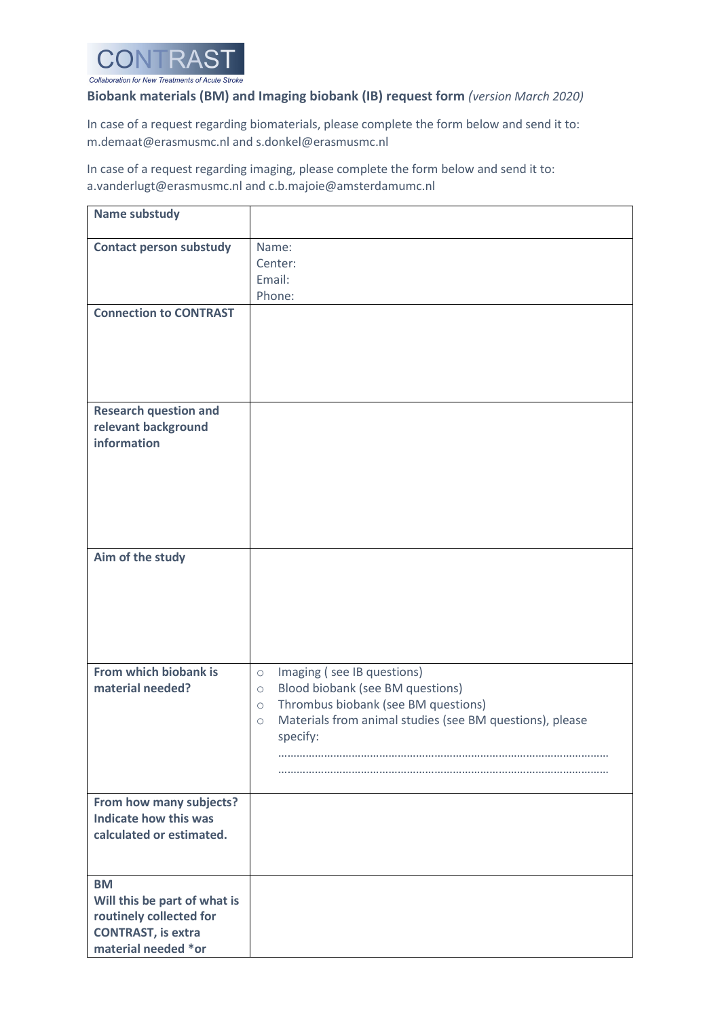

## **Biobank materials (BM) and Imaging biobank (IB) request form** *(version March 2020)*

In case of a request regarding biomaterials, please complete the form below and send it to: m.demaat@erasmusmc.nl and s.donkel@erasmusmc.nl

In case of a request regarding imaging, please complete the form below and send it to: a.vanderlugt@erasmusmc.nl and c.b.majoie@amsterdamumc.nl

| <b>Name substudy</b>                                                                                                     |                                                                                                                                                                                                                                       |
|--------------------------------------------------------------------------------------------------------------------------|---------------------------------------------------------------------------------------------------------------------------------------------------------------------------------------------------------------------------------------|
| <b>Contact person substudy</b>                                                                                           | Name:<br>Center:<br>Email:<br>Phone:                                                                                                                                                                                                  |
| <b>Connection to CONTRAST</b>                                                                                            |                                                                                                                                                                                                                                       |
| <b>Research question and</b><br>relevant background<br>information                                                       |                                                                                                                                                                                                                                       |
| Aim of the study                                                                                                         |                                                                                                                                                                                                                                       |
| From which biobank is<br>material needed?                                                                                | Imaging (see IB questions)<br>$\circ$<br>Blood biobank (see BM questions)<br>$\circ$<br>Thrombus biobank (see BM questions)<br>$\circ$<br>Materials from animal studies (see BM questions), please<br>$\circlearrowright$<br>specify: |
| From how many subjects?<br>Indicate how this was<br>calculated or estimated.                                             |                                                                                                                                                                                                                                       |
| <b>BM</b><br>Will this be part of what is<br>routinely collected for<br><b>CONTRAST, is extra</b><br>material needed *or |                                                                                                                                                                                                                                       |